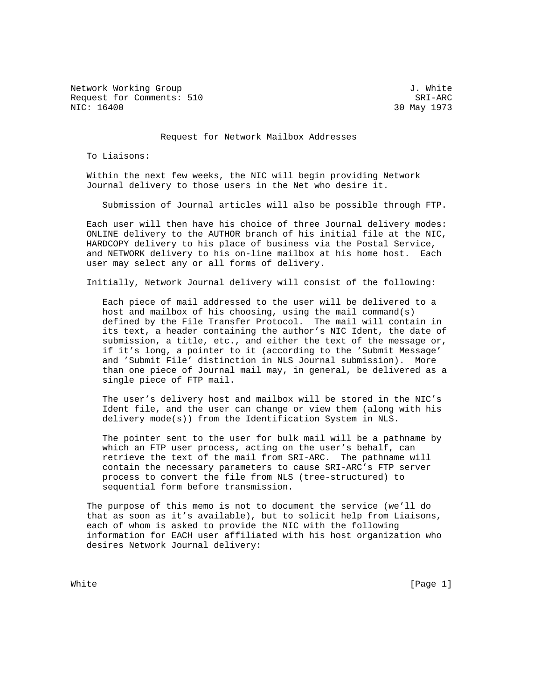Network Working Group 3. White 3. White 3. White 3. White 3. White 3. White 3. White 3. White 3. White 3. White 3. White 3. White 3. White 3. White 3. White 3. White 3. White 3. White 3. White 3. White 3. White 3. White 3. Request for Comments: 510 SRI-ARC<br>NIC: 16400 SRI-ARC

30 May 1973

Request for Network Mailbox Addresses

To Liaisons:

 Within the next few weeks, the NIC will begin providing Network Journal delivery to those users in the Net who desire it.

Submission of Journal articles will also be possible through FTP.

 Each user will then have his choice of three Journal delivery modes: ONLINE delivery to the AUTHOR branch of his initial file at the NIC, HARDCOPY delivery to his place of business via the Postal Service, and NETWORK delivery to his on-line mailbox at his home host. Each user may select any or all forms of delivery.

Initially, Network Journal delivery will consist of the following:

 Each piece of mail addressed to the user will be delivered to a host and mailbox of his choosing, using the mail command(s) defined by the File Transfer Protocol. The mail will contain in its text, a header containing the author's NIC Ident, the date of submission, a title, etc., and either the text of the message or, if it's long, a pointer to it (according to the 'Submit Message' and 'Submit File' distinction in NLS Journal submission). More than one piece of Journal mail may, in general, be delivered as a single piece of FTP mail.

 The user's delivery host and mailbox will be stored in the NIC's Ident file, and the user can change or view them (along with his delivery mode(s)) from the Identification System in NLS.

 The pointer sent to the user for bulk mail will be a pathname by which an FTP user process, acting on the user's behalf, can retrieve the text of the mail from SRI-ARC. The pathname will contain the necessary parameters to cause SRI-ARC's FTP server process to convert the file from NLS (tree-structured) to sequential form before transmission.

 The purpose of this memo is not to document the service (we'll do that as soon as it's available), but to solicit help from Liaisons, each of whom is asked to provide the NIC with the following information for EACH user affiliated with his host organization who desires Network Journal delivery:

White  $[Page 1]$